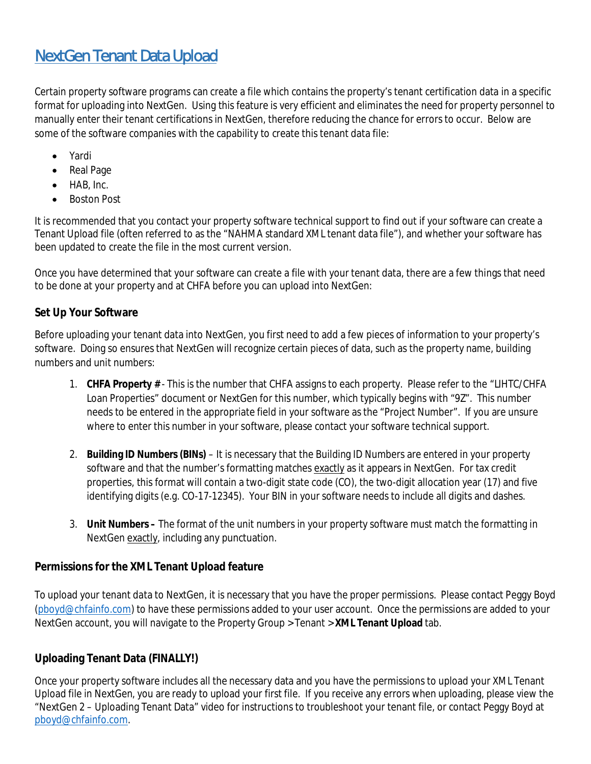## NextGen Tenant Data Upload

Certain property software programs can create a file which contains the property's tenant certification data in a specific format for uploading into NextGen. Using this feature is very efficient and eliminates the need for property personnel to manually enter their tenant certifications in NextGen, therefore reducing the chance for errors to occur. Below are some of the software companies with the capability to create this tenant data file:

- · Yardi
- · Real Page
- HAB, Inc.
- · Boston Post

It is recommended that you contact your property software technical support to find out if your software can create a Tenant Upload file (often referred to as the "NAHMA standard XML tenant data file"), and whether your software has been updated to create the file in the most current version.

Once you have determined that your software can create a file with your tenant data, there are a few things that need to be done at your property and at CHFA before you can upload into NextGen:

## **Set Up Your Software**

Before uploading your tenant data into NextGen, you first need to add a few pieces of information to your property's software. Doing so ensures that NextGen will recognize certain pieces of data, such as the property name, building numbers and unit numbers:

- 1. **CHFA Property #** This is the number that CHFA assigns to each property. Please refer to the "LIHTC/CHFA Loan Properties" document or NextGen for this number, which typically begins with "9Z". This number needs to be entered in the appropriate field in your software as the "Project Number". If you are unsure where to enter this number in your software, please contact your software technical support.
- 2. **Building ID Numbers (BINs)** It is necessary that the Building ID Numbers are entered in your property software and that the number's formatting matches exactly as it appears in NextGen. For tax credit properties, this format will contain a two-digit state code (CO), the two-digit allocation year (17) and five identifying digits (e.g. CO-17-12345). Your BIN in your software needs to include all digits and dashes.
- 3. **Unit Numbers –** The format of the unit numbers in your property software must match the formatting in NextGen exactly, including any punctuation.

## **Permissions for the XML Tenant Upload feature**

To upload your tenant data to NextGen, it is necessary that you have the proper permissions. Please contact Peggy Boyd (pboyd@chfainfo.com) to have these permissions added to your user account. Once the permissions are added to your NextGen account, you will navigate to the Property Group > Tenant > **XML Tenant Upload** tab.

## **Uploading Tenant Data (FINALLY!)**

Once your property software includes all the necessary data and you have the permissions to upload your XML Tenant Upload file in NextGen, you are ready to upload your first file. If you receive any errors when uploading, please view the "NextGen 2 – Uploading Tenant Data" video for instructions to troubleshoot your tenant file, or contact Peggy Boyd at pboyd@chfainfo.com.